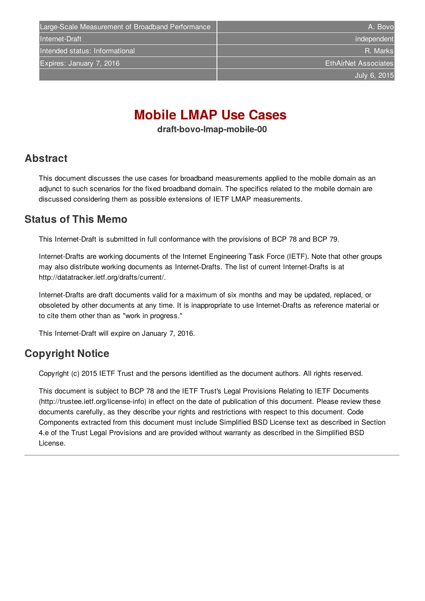# **Mobile LMAP Use Cases**

**draft-bovo-lmap-mobile-00**

#### <span id="page-0-0"></span>**[Abstract](#page-0-0)**

This document discusses the use cases for broadband measurements applied to the mobile domain as an adjunct to such scenarios for the fixed broadband domain. The specifics related to the mobile domain are discussed considering them as possible extensions of IETF LMAP measurements.

## <span id="page-0-1"></span>**[Status](#page-0-1) of This Memo**

This Internet-Draft is submitted in full conformance with the provisions of BCP 78 and BCP 79.

Internet-Drafts are working documents of the Internet Engineering Task Force (IETF). Note that other groups may also distribute working documents as Internet-Drafts. The list of current Internet-Drafts is at http://datatracker.ietf.org/drafts/current/.

Internet-Drafts are draft documents valid for a maximum of six months and may be updated, replaced, or obsoleted by other documents at any time. It is inappropriate to use Internet-Drafts as reference material or to cite them other than as "work in progress."

This Internet-Draft will expire on January 7, 2016.

## <span id="page-0-2"></span>**[Copyright](#page-0-2) Notice**

Copyright (c) 2015 IETF Trust and the persons identified as the document authors. All rights reserved.

This document is subject to BCP 78 and the IETF Trust's Legal Provisions Relating to IETF Documents (http://trustee.ietf.org/license-info) in effect on the date of publication of this document. Please review these documents carefully, as they describe your rights and restrictions with respect to this document. Code Components extracted from this document must include Simplified BSD License text as described in Section 4.e of the Trust Legal Provisions and are provided without warranty as described in the Simplified BSD License.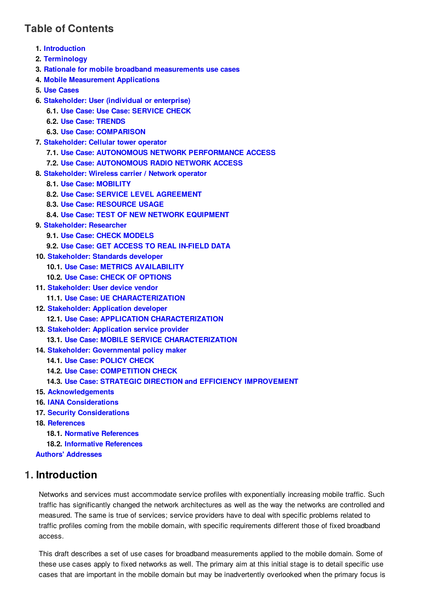## <span id="page-1-0"></span>**Table of [Contents](#page-1-0)**

- **1. [Introduction](#page-1-1)**
- **2. [Terminology](#page-2-0)**
- **3. Rationale for mobile broadband [measurements](#page-2-1) use cases**
- **4. Mobile [Measurement](#page-2-2) Applications**
- **5. Use [Cases](#page-3-0)**
- **6. [Stakeholder:](#page-4-0) User (individual or enterprise)**
	- **6.1. Use Case: Use Case: [SERVICE](#page-4-1) CHECK**
	- **6.2. Use Case: [TRENDS](#page-4-2)**
	- **6.3. Use Case: [COMPARISON](#page-4-3)**
- **7. [Stakeholder:](#page-5-0) Cellular tower operator**
	- **7.1. Use Case: AUTONOMOUS NETWORK [PERFORMANCE](#page-5-1) ACCESS**
	- **7.2. Use Case: [AUTONOMOUS](#page-5-2) RADIO NETWORK ACCESS**
- **8. [Stakeholder:](#page-5-3) Wireless carrier / Network operator**
	- **8.1. Use Case: [MOBILITY](#page-5-4)**
	- **8.2. Use Case: SERVICE LEVEL [AGREEMENT](#page-5-5)**
	- **8.3. Use Case: [RESOURCE](#page-6-0) USAGE**
	- **8.4. Use Case: TEST OF NEW NETWORK [EQUIPMENT](#page-6-1)**
- **9. [Stakeholder:](#page-6-2) Researcher**
	- **9.1. Use Case: CHECK [MODELS](#page-6-3)**
	- **9.2. Use Case: GET ACCESS TO REAL [IN-FIELD](#page-6-4) DATA**
- **10. [Stakeholder:](#page-6-5) Standards developer**
	- **10.1. Use Case: METRICS [AVAILABILITY](#page-7-0)**
	- **10.2. Use Case: CHECK OF [OPTIONS](#page-7-1)**
- **11. [Stakeholder:](#page-7-2) User device vendor**
	- **11.1. Use Case: UE [CHARACTERIZATION](#page-7-3)**
- **12. [Stakeholder:](#page-7-4) Application developer 12.1. Use Case: APPLICATION [CHARACTERIZATION](#page-7-5)**
- **13. [Stakeholder:](#page-8-0) Application service provider 13.1. Use Case: MOBILE SERVICE [CHARACTERIZATION](#page-8-1)**
- **14. Stakeholder: [Governmental](#page-8-2) policy maker**
	- **14.1. Use Case: [POLICY](#page-8-3) CHECK**
	- **14.2. Use Case: [COMPETITION](#page-8-4) CHECK**
	- **14.3. Use Case: STRATEGIC DIRECTION and EFFICIENCY [IMPROVEMENT](#page-8-5)**
- **15. [Acknowledgements](#page-9-0)**
- **16. IANA [Considerations](#page-9-1)**
- **17. Security [Considerations](#page-9-2)**
- **18. [References](#page-9-3)**
	- **18.1. Normative [References](#page-9-4)**
	- **18.2. [Informative](#page-9-5) References**
- **Authors' [Addresses](#page-9-6)**

#### <span id="page-1-1"></span>**[1.](#page-1-1) Introduction**

Networks and services must accommodate service profiles with exponentially increasing mobile traffic. Such traffic has significantly changed the network architectures as well as the way the networks are controlled and measured. The same is true of services; service providers have to deal with specific problems related to traffic profiles coming from the mobile domain, with specific requirements different those of fixed broadband access.

This draft describes a set of use cases for broadband measurements applied to the mobile domain. Some of these use cases apply to fixed networks as well. The primary aim at this initial stage is to detail specific use cases that are important in the mobile domain but may be inadvertently overlooked when the primary focus is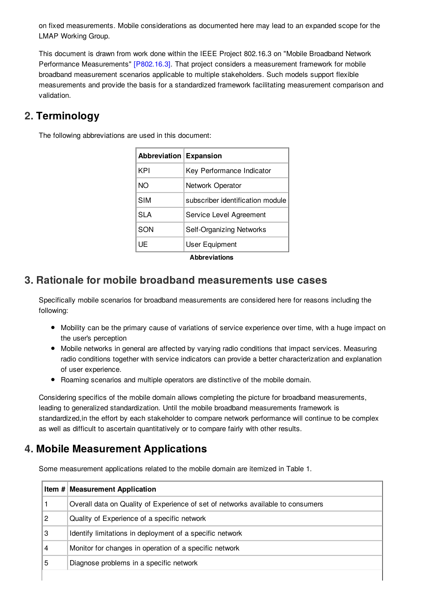on fixed measurements. Mobile considerations as documented here may lead to an expanded scope for the LMAP Working Group.

This document is drawn from work done within the IEEE Project 802.16.3 on "Mobile Broadband Network Performance Measurements" [\[P802.16.3\]](#page-9-7). That project considers a measurement framework for mobile broadband measurement scenarios applicable to multiple stakeholders. Such models support flexible measurements and provide the basis for a standardized framework facilitating measurement comparison and validation.

## <span id="page-2-0"></span>**[2.](#page-2-0) Terminology**

The following abbreviations are used in this document:

| Abbreviation Expansion |                                  |  |  |
|------------------------|----------------------------------|--|--|
| KPI                    | Key Performance Indicator        |  |  |
| <b>NO</b>              | Network Operator                 |  |  |
| <b>SIM</b>             | subscriber identification module |  |  |
| <b>SLA</b>             | Service Level Agreement          |  |  |
| SON                    | Self-Organizing Networks         |  |  |
| UE                     | User Equipment                   |  |  |
| <b>Abbreviations</b>   |                                  |  |  |

#### <span id="page-2-3"></span><span id="page-2-1"></span>**[3.](#page-2-1) Rationale for mobile broadband [measurements](#page-2-3) use cases**

Specifically mobile scenarios for broadband measurements are considered here for reasons including the following:

- Mobility can be the primary cause of variations of service experience over time, with a huge impact on the user's perception
- Mobile networks in general are affected by varying radio conditions that impact services. Measuring radio conditions together with service indicators can provide a better characterization and explanation of user experience.
- Roaming scenarios and multiple operators are distinctive of the mobile domain.

Considering specifics of the mobile domain allows completing the picture for broadband measurements, leading to generalized standardization. Until the mobile broadband measurements framework is standardized,in the effort by each stakeholder to compare network performance will continue to be complex as well as difficult to ascertain quantitatively or to compare fairly with other results.

## <span id="page-2-2"></span>**[4.](#page-2-2) Mobile Measurement Applications**

Some measurement applications related to the mobile domain are itemized in Table 1.

|   | Item # Measurement Application                                                  |
|---|---------------------------------------------------------------------------------|
|   | Overall data on Quality of Experience of set of networks available to consumers |
| 2 | Quality of Experience of a specific network                                     |
| 3 | Identify limitations in deployment of a specific network                        |
| 4 | Monitor for changes in operation of a specific network                          |
| 5 | Diagnose problems in a specific network                                         |
|   |                                                                                 |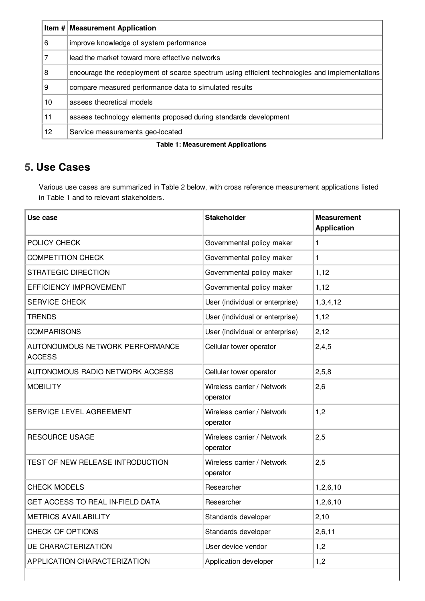|    | Item # Measurement Application                                                                 |
|----|------------------------------------------------------------------------------------------------|
| 6  | improve knowledge of system performance                                                        |
| 7  | lead the market toward more effective networks                                                 |
| 8  | encourage the redeployment of scarce spectrum using efficient technologies and implementations |
| 9  | compare measured performance data to simulated results                                         |
| 10 | assess theoretical models                                                                      |
| 11 | assess technology elements proposed during standards development                               |
| 12 | Service measurements geo-located                                                               |

#### **Table 1: Measurement Applications**

## <span id="page-3-0"></span>**[5.](#page-3-0) Use Cases**

Various use cases are summarized in Table 2 below, with cross reference measurement applications listed in Table 1 and to relevant stakeholders.

| Use case                                         | <b>Stakeholder</b>                     | <b>Measurement</b><br><b>Application</b> |
|--------------------------------------------------|----------------------------------------|------------------------------------------|
| POLICY CHECK                                     | Governmental policy maker              | 1                                        |
| <b>COMPETITION CHECK</b>                         | Governmental policy maker              | 1                                        |
| <b>STRATEGIC DIRECTION</b>                       | Governmental policy maker              | 1,12                                     |
| EFFICIENCY IMPROVEMENT                           | Governmental policy maker              | 1,12                                     |
| SERVICE CHECK                                    | User (individual or enterprise)        | 1,3,4,12                                 |
| <b>TRENDS</b>                                    | User (individual or enterprise)        | 1,12                                     |
| <b>COMPARISONS</b>                               | User (individual or enterprise)        | 2,12                                     |
| AUTONOUMOUS NETWORK PERFORMANCE<br><b>ACCESS</b> | Cellular tower operator                | 2,4,5                                    |
| AUTONOMOUS RADIO NETWORK ACCESS                  | Cellular tower operator                | 2, 5, 8                                  |
| <b>MOBILITY</b>                                  | Wireless carrier / Network<br>operator | 2,6                                      |
| SERVICE LEVEL AGREEMENT                          | Wireless carrier / Network<br>operator | 1,2                                      |
| <b>RESOURCE USAGE</b>                            | Wireless carrier / Network<br>operator | 2,5                                      |
| TEST OF NEW RELEASE INTRODUCTION                 | Wireless carrier / Network<br>operator | 2,5                                      |
| <b>CHECK MODELS</b>                              | Researcher                             | 1, 2, 6, 10                              |
| GET ACCESS TO REAL IN-FIELD DATA                 | Researcher                             | 1, 2, 6, 10                              |
| <b>METRICS AVAILABILITY</b>                      | Standards developer                    | 2,10                                     |
| <b>CHECK OF OPTIONS</b>                          | Standards developer                    | 2, 6, 11                                 |
| <b>UE CHARACTERIZATION</b>                       | User device vendor                     | 1,2                                      |
| APPLICATION CHARACTERIZATION                     | Application developer                  | 1,2                                      |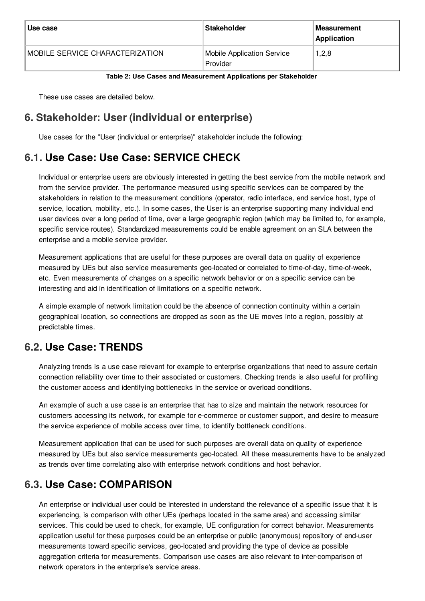| Use case                        | Stakeholder                                   | ∣Measurement<br>Application |
|---------------------------------|-----------------------------------------------|-----------------------------|
| MOBILE SERVICE CHARACTERIZATION | <b>Mobile Application Service</b><br>Provider | 1, 2, 8                     |

#### **Table 2: Use Cases and Measurement Applications per Stakeholder**

These use cases are detailed below.

## <span id="page-4-4"></span><span id="page-4-0"></span>**[6.](#page-4-0) [Stakeholder:](#page-4-4) User (individual or enterprise)**

Use cases for the "User (individual or enterprise)" stakeholder include the following:

## <span id="page-4-1"></span>**[6.1.](#page-4-1) Use Case: Use Case: SERVICE CHECK**

Individual or enterprise users are obviously interested in getting the best service from the mobile network and from the service provider. The performance measured using specific services can be compared by the stakeholders in relation to the measurement conditions (operator, radio interface, end service host, type of service, location, mobility, etc.). In some cases, the User is an enterprise supporting many individual end user devices over a long period of time, over a large geographic region (which may be limited to, for example, specific service routes). Standardized measurements could be enable agreement on an SLA between the enterprise and a mobile service provider.

Measurement applications that are useful for these purposes are overall data on quality of experience measured by UEs but also service measurements geo-located or correlated to time-of-day, time-of-week, etc. Even measurements of changes on a specific network behavior or on a specific service can be interesting and aid in identification of limitations on a specific network.

A simple example of network limitation could be the absence of connection continuity within a certain geographical location, so connections are dropped as soon as the UE moves into a region, possibly at predictable times.

## <span id="page-4-2"></span>**[6.2.](#page-4-2) Use Case: TRENDS**

Analyzing trends is a use case relevant for example to enterprise organizations that need to assure certain connection reliability over time to their associated or customers. Checking trends is also useful for profiling the customer access and identifying bottlenecks in the service or overload conditions.

An example of such a use case is an enterprise that has to size and maintain the network resources for customers accessing its network, for example for e-commerce or customer support, and desire to measure the service experience of mobile access over time, to identify bottleneck conditions.

Measurement application that can be used for such purposes are overall data on quality of experience measured by UEs but also service measurements geo-located. All these measurements have to be analyzed as trends over time correlating also with enterprise network conditions and host behavior.

## <span id="page-4-3"></span>**[6.3.](#page-4-3) Use Case: COMPARISON**

An enterprise or individual user could be interested in understand the relevance of a specific issue that it is experiencing, is comparison with other UEs (perhaps located in the same area) and accessing similar services. This could be used to check, for example, UE configuration for correct behavior. Measurements application useful for these purposes could be an enterprise or public (anonymous) repository of end-user measurements toward specific services, geo-located and providing the type of device as possible aggregation criteria for measurements. Comparison use cases are also relevant to inter-comparison of network operators in the enterprise's service areas.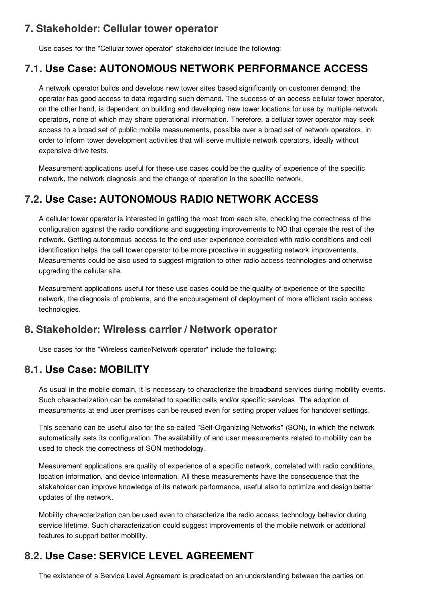## <span id="page-5-6"></span><span id="page-5-0"></span>**[7.](#page-5-0) [Stakeholder:](#page-5-6) Cellular tower operator**

Use cases for the "Cellular tower operator" stakeholder include the following:

#### <span id="page-5-1"></span>**[7.1.](#page-5-1) Use Case: AUTONOMOUS NETWORK PERFORMANCE ACCESS**

A network operator builds and develops new tower sites based significantly on customer demand; the operator has good access to data regarding such demand. The success of an access cellular tower operator, on the other hand, is dependent on building and developing new tower locations for use by multiple network operators, none of which may share operational information. Therefore, a cellular tower operator may seek access to a broad set of public mobile measurements, possible over a broad set of network operators, in order to inform tower development activities that will serve multiple network operators, ideally without expensive drive tests.

Measurement applications useful for these use cases could be the quality of experience of the specific network, the network diagnosis and the change of operation in the specific network.

## <span id="page-5-2"></span>**[7.2.](#page-5-2) Use Case: AUTONOMOUS RADIO NETWORK ACCESS**

A cellular tower operator is interested in getting the most from each site, checking the correctness of the configuration against the radio conditions and suggesting improvements to NO that operate the rest of the network. Getting autonomous access to the end-user experience correlated with radio conditions and cell identification helps the cell tower operator to be more proactive in suggesting network improvements. Measurements could be also used to suggest migration to other radio access technologies and otherwise upgrading the cellular site.

Measurement applications useful for these use cases could be the quality of experience of the specific network, the diagnosis of problems, and the encouragement of deployment of more efficient radio access technologies.

#### <span id="page-5-7"></span><span id="page-5-3"></span>**[8.](#page-5-3) [Stakeholder:](#page-5-7) Wireless carrier / Network operator**

Use cases for the "Wireless carrier/Network operator" include the following:

#### <span id="page-5-4"></span>**[8.1.](#page-5-4) Use Case: MOBILITY**

As usual in the mobile domain, it is necessary to characterize the broadband services during mobility events. Such characterization can be correlated to specific cells and/or specific services. The adoption of measurements at end user premises can be reused even for setting proper values for handover settings.

This scenario can be useful also for the so-called "Self-Organizing Networks" (SON), in which the network automatically sets its configuration. The availability of end user measurements related to mobility can be used to check the correctness of SON methodology.

Measurement applications are quality of experience of a specific network, correlated with radio conditions, location information, and device information. All these measurements have the consequence that the stakeholder can improve knowledge of its network performance, useful also to optimize and design better updates of the network.

Mobility characterization can be used even to characterize the radio access technology behavior during service lifetime. Such characterization could suggest improvements of the mobile network or additional features to support better mobility.

## <span id="page-5-5"></span>**[8.2.](#page-5-5) Use Case: SERVICE LEVEL AGREEMENT**

The existence of a Service Level Agreement is predicated on an understanding between the parties on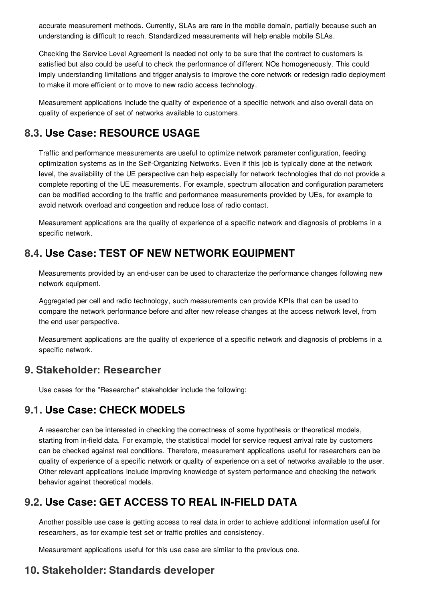accurate measurement methods. Currently, SLAs are rare in the mobile domain, partially because such an understanding is difficult to reach. Standardized measurements will help enable mobile SLAs.

Checking the Service Level Agreement is needed not only to be sure that the contract to customers is satisfied but also could be useful to check the performance of different NOs homogeneously. This could imply understanding limitations and trigger analysis to improve the core network or redesign radio deployment to make it more efficient or to move to new radio access technology.

Measurement applications include the quality of experience of a specific network and also overall data on quality of experience of set of networks available to customers.

#### <span id="page-6-0"></span>**[8.3.](#page-6-0) Use Case: RESOURCE USAGE**

Traffic and performance measurements are useful to optimize network parameter configuration, feeding optimization systems as in the Self-Organizing Networks. Even if this job is typically done at the network level, the availability of the UE perspective can help especially for network technologies that do not provide a complete reporting of the UE measurements. For example, spectrum allocation and configuration parameters can be modified according to the traffic and performance measurements provided by UEs, for example to avoid network overload and congestion and reduce loss of radio contact.

Measurement applications are the quality of experience of a specific network and diagnosis of problems in a specific network.

## <span id="page-6-1"></span>**[8.4.](#page-6-1) Use Case: TEST OF NEW NETWORK EQUIPMENT**

Measurements provided by an end-user can be used to characterize the performance changes following new network equipment.

Aggregated per cell and radio technology, such measurements can provide KPIs that can be used to compare the network performance before and after new release changes at the access network level, from the end user perspective.

Measurement applications are the quality of experience of a specific network and diagnosis of problems in a specific network.

#### <span id="page-6-6"></span><span id="page-6-2"></span>**[9.](#page-6-2) [Stakeholder:](#page-6-6) Researcher**

Use cases for the "Researcher" stakeholder include the following:

## <span id="page-6-3"></span>**[9.1.](#page-6-3) Use Case: CHECK MODELS**

A researcher can be interested in checking the correctness of some hypothesis or theoretical models, starting from in-field data. For example, the statistical model for service request arrival rate by customers can be checked against real conditions. Therefore, measurement applications useful for researchers can be quality of experience of a specific network or quality of experience on a set of networks available to the user. Other relevant applications include improving knowledge of system performance and checking the network behavior against theoretical models.

## <span id="page-6-4"></span>**[9.2.](#page-6-4) Use Case: GET ACCESS TO REAL IN-FIELD DATA**

Another possible use case is getting access to real data in order to achieve additional information useful for researchers, as for example test set or traffic profiles and consistency.

<span id="page-6-7"></span>Measurement applications useful for this use case are similar to the previous one.

## <span id="page-6-5"></span>**[10.](#page-6-5) [Stakeholder:](#page-6-7) Standards developer**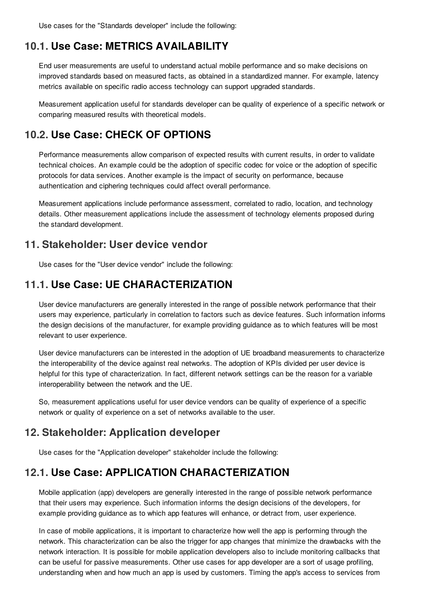Use cases for the "Standards developer" include the following:

#### <span id="page-7-0"></span>**[10.1.](#page-7-0) Use Case: METRICS AVAILABILITY**

End user measurements are useful to understand actual mobile performance and so make decisions on improved standards based on measured facts, as obtained in a standardized manner. For example, latency metrics available on specific radio access technology can support upgraded standards.

Measurement application useful for standards developer can be quality of experience of a specific network or comparing measured results with theoretical models.

#### <span id="page-7-1"></span>**[10.2.](#page-7-1) Use Case: CHECK OF OPTIONS**

Performance measurements allow comparison of expected results with current results, in order to validate technical choices. An example could be the adoption of specific codec for voice or the adoption of specific protocols for data services. Another example is the impact of security on performance, because authentication and ciphering techniques could affect overall performance.

Measurement applications include performance assessment, correlated to radio, location, and technology details. Other measurement applications include the assessment of technology elements proposed during the standard development.

#### <span id="page-7-6"></span><span id="page-7-2"></span>**[11.](#page-7-2) [Stakeholder:](#page-7-6) User device vendor**

Use cases for the "User device vendor" include the following:

#### <span id="page-7-3"></span>**[11.1.](#page-7-3) Use Case: UE CHARACTERIZATION**

User device manufacturers are generally interested in the range of possible network performance that their users may experience, particularly in correlation to factors such as device features. Such information informs the design decisions of the manufacturer, for example providing guidance as to which features will be most relevant to user experience.

User device manufacturers can be interested in the adoption of UE broadband measurements to characterize the interoperability of the device against real networks. The adoption of KPIs divided per user device is helpful for this type of characterization. In fact, different network settings can be the reason for a variable interoperability between the network and the UE.

So, measurement applications useful for user device vendors can be quality of experience of a specific network or quality of experience on a set of networks available to the user.

## <span id="page-7-7"></span><span id="page-7-4"></span>**[12.](#page-7-4) [Stakeholder:](#page-7-7) Application developer**

Use cases for the "Application developer" stakeholder include the following:

## <span id="page-7-5"></span>**[12.1.](#page-7-5) Use Case: APPLICATION CHARACTERIZATION**

Mobile application (app) developers are generally interested in the range of possible network performance that their users may experience. Such information informs the design decisions of the developers, for example providing guidance as to which app features will enhance, or detract from, user experience.

In case of mobile applications, it is important to characterize how well the app is performing through the network. This characterization can be also the trigger for app changes that minimize the drawbacks with the network interaction. It is possible for mobile application developers also to include monitoring callbacks that can be useful for passive measurements. Other use cases for app developer are a sort of usage profiling, understanding when and how much an app is used by customers. Timing the app's access to services from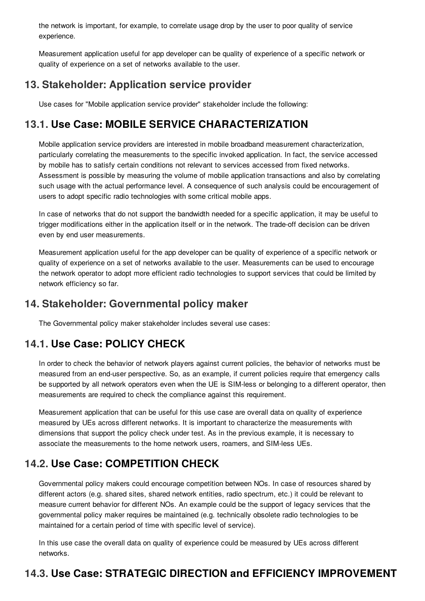the network is important, for example, to correlate usage drop by the user to poor quality of service experience.

Measurement application useful for app developer can be quality of experience of a specific network or quality of experience on a set of networks available to the user.

## <span id="page-8-6"></span><span id="page-8-0"></span>**[13.](#page-8-0) [Stakeholder:](#page-8-6) Application service provider**

Use cases for "Mobile application service provider" stakeholder include the following:

## <span id="page-8-1"></span>**[13.1.](#page-8-1) Use Case: MOBILE SERVICE CHARACTERIZATION**

Mobile application service providers are interested in mobile broadband measurement characterization, particularly correlating the measurements to the specific invoked application. In fact, the service accessed by mobile has to satisfy certain conditions not relevant to services accessed from fixed networks. Assessment is possible by measuring the volume of mobile application transactions and also by correlating such usage with the actual performance level. A consequence of such analysis could be encouragement of users to adopt specific radio technologies with some critical mobile apps.

In case of networks that do not support the bandwidth needed for a specific application, it may be useful to trigger modifications either in the application itself or in the network. The trade-off decision can be driven even by end user measurements.

Measurement application useful for the app developer can be quality of experience of a specific network or quality of experience on a set of networks available to the user. Measurements can be used to encourage the network operator to adopt more efficient radio technologies to support services that could be limited by network efficiency so far.

## <span id="page-8-7"></span><span id="page-8-2"></span>**[14.](#page-8-2) Stakeholder: [Governmental](#page-8-7) policy maker**

The Governmental policy maker stakeholder includes several use cases:

## <span id="page-8-3"></span>**[14.1.](#page-8-3) Use Case: POLICY CHECK**

In order to check the behavior of network players against current policies, the behavior of networks must be measured from an end-user perspective. So, as an example, if current policies require that emergency calls be supported by all network operators even when the UE is SIM-less or belonging to a different operator, then measurements are required to check the compliance against this requirement.

Measurement application that can be useful for this use case are overall data on quality of experience measured by UEs across different networks. It is important to characterize the measurements with dimensions that support the policy check under test. As in the previous example, it is necessary to associate the measurements to the home network users, roamers, and SIM-less UEs.

## <span id="page-8-4"></span>**[14.2.](#page-8-4) Use Case: COMPETITION CHECK**

Governmental policy makers could encourage competition between NOs. In case of resources shared by different actors (e.g. shared sites, shared network entities, radio spectrum, etc.) it could be relevant to measure current behavior for different NOs. An example could be the support of legacy services that the governmental policy maker requires be maintained (e.g. technically obsolete radio technologies to be maintained for a certain period of time with specific level of service).

In this use case the overall data on quality of experience could be measured by UEs across different networks.

## <span id="page-8-5"></span>**[14.3.](#page-8-5) Use Case: STRATEGIC DIRECTION and EFFICIENCY IMPROVEMENT**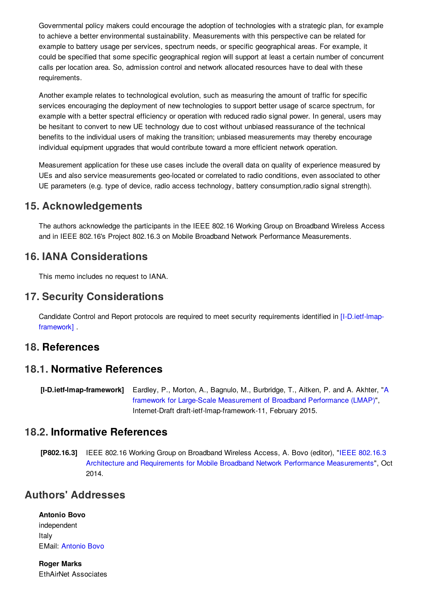Governmental policy makers could encourage the adoption of technologies with a strategic plan, for example to achieve a better environmental sustainability. Measurements with this perspective can be related for example to battery usage per services, spectrum needs, or specific geographical areas. For example, it could be specified that some specific geographical region will support at least a certain number of concurrent calls per location area. So, admission control and network allocated resources have to deal with these requirements.

Another example relates to technological evolution, such as measuring the amount of traffic for specific services encouraging the deployment of new technologies to support better usage of scarce spectrum, for example with a better spectral efficiency or operation with reduced radio signal power. In general, users may be hesitant to convert to new UE technology due to cost without unbiased reassurance of the technical benefits to the individual users of making the transition; unbiased measurements may thereby encourage individual equipment upgrades that would contribute toward a more efficient network operation.

Measurement application for these use cases include the overall data on quality of experience measured by UEs and also service measurements geo-located or correlated to radio conditions, even associated to other UE parameters (e.g. type of device, radio access technology, battery consumption,radio signal strength).

#### <span id="page-9-8"></span><span id="page-9-0"></span>**[15.](#page-9-0) [Acknowledgements](#page-9-8)**

The authors acknowledge the participants in the IEEE 802.16 Working Group on Broadband Wireless Access and in IEEE 802.16's Project 802.16.3 on Mobile Broadband Network Performance Measurements.

#### <span id="page-9-9"></span><span id="page-9-1"></span>**[16.](#page-9-1) IANA [Considerations](#page-9-9)**

<span id="page-9-10"></span>This memo includes no request to IANA.

#### <span id="page-9-2"></span>**[17.](#page-9-2) Security [Considerations](#page-9-10)**

Candidate Control and Report protocols are required to meet security requirements identified in [\[I-D.ietf-lmap](#page-9-11)framework] .

#### <span id="page-9-3"></span>**[18.](#page-9-3) References**

#### <span id="page-9-4"></span>**[18.1.](#page-9-4) Normative References**

<span id="page-9-11"></span>**[I-D.ietf-lmap-framework]** Eardley, P., Morton, A., Bagnulo, M., Burbridge, T., Aitken, P. and A. Akhter, "A framework for Large-Scale [Measurement](http://tools.ietf.org/html/draft-ietf-lmap-framework-11) of Broadband Performance (LMAP)", Internet-Draft draft-ietf-lmap-framework-11, February 2015.

#### <span id="page-9-5"></span>**[18.2.](#page-9-5) Informative References**

<span id="page-9-7"></span>**[P802.16.3]** IEEE 802.16 Working Group on Broadband Wireless Access, A. Bovo (editor), "IEEE 802.16.3 Architecture and Requirements for Mobile Broadband Network Performance [Measurements",](https://mentor.ieee.org/802.16/dcn/14/16-14-0078-00.docx) Oct 2014.

#### <span id="page-9-6"></span>**Authors' [Addresses](#page-9-6)**

**Antonio Bovo** independent Italy EMail: [Antonio](mailto:Antonio Bovo ) Bovo

**Roger Marks** EthAirNet Associates